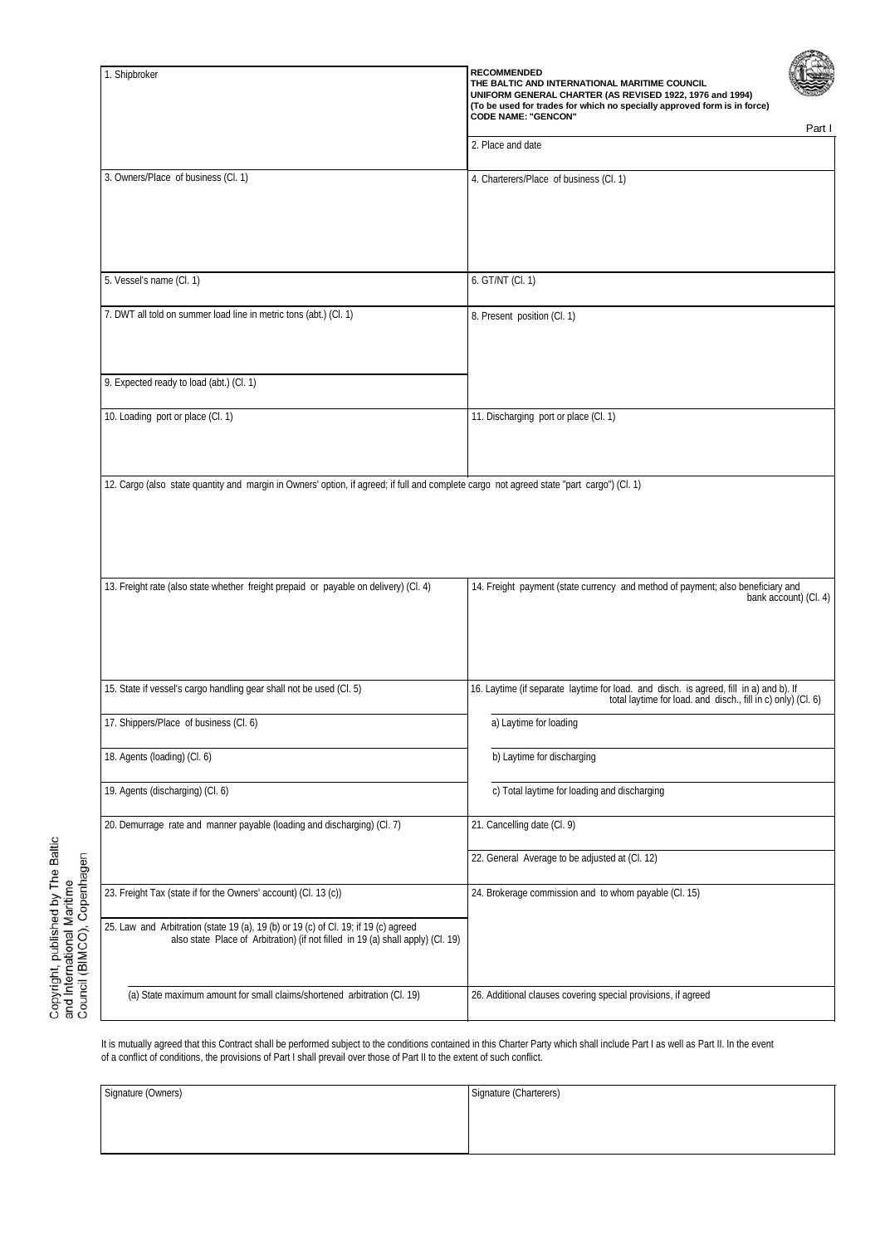| 1. Shipbroker                                                                                                                                                                                                                             | <b>RECOMMENDED</b><br>THE BALTIC AND INTERNATIONAL MARITIME COUNCIL<br>UNIFORM GENERAL CHARTER (AS REVISED 1922, 1976 and 1994)<br>(To be used for trades for which no specially approved form is in force)<br><b>CODE NAME: "GENCON"</b><br>Part I |
|-------------------------------------------------------------------------------------------------------------------------------------------------------------------------------------------------------------------------------------------|-----------------------------------------------------------------------------------------------------------------------------------------------------------------------------------------------------------------------------------------------------|
|                                                                                                                                                                                                                                           | 2. Place and date                                                                                                                                                                                                                                   |
| 3. Owners/Place of business (Cl. 1)                                                                                                                                                                                                       | 4. Charterers/Place of business (Cl. 1)                                                                                                                                                                                                             |
| 5. Vessel's name (Cl. 1)                                                                                                                                                                                                                  | 6. GT/NT (Cl. 1)                                                                                                                                                                                                                                    |
| 7. DWT all told on summer load line in metric tons (abt.) (Cl. 1)                                                                                                                                                                         | 8. Present position (Cl. 1)                                                                                                                                                                                                                         |
| 9. Expected ready to load (abt.) (Cl. 1)                                                                                                                                                                                                  |                                                                                                                                                                                                                                                     |
| 10. Loading port or place (Cl. 1)                                                                                                                                                                                                         | 11. Discharging port or place (Cl. 1)                                                                                                                                                                                                               |
| 13. Freight rate (also state whether freight prepaid or payable on delivery) (Cl. 4)                                                                                                                                                      | 14. Freight payment (state currency and method of payment; also beneficiary and<br>bank account) (Cl. 4)                                                                                                                                            |
| 15. State if vessel's cargo handling gear shall not be used (Cl. 5)                                                                                                                                                                       | 16. Laytime (if separate laytime for load. and disch. is agreed, fill in a) and b). If<br>total laytime for load. and disch., fill in c) only) (Cl. 6)                                                                                              |
| 17. Shippers/Place of business (Cl. 6)                                                                                                                                                                                                    | a) Laytime for loading                                                                                                                                                                                                                              |
| 18. Agents (loading) (Cl. 6)                                                                                                                                                                                                              | b) Laytime for discharging                                                                                                                                                                                                                          |
| 19. Agents (discharging) (Cl. 6)                                                                                                                                                                                                          | c) Total laytime for loading and discharging                                                                                                                                                                                                        |
| 20. Demurrage rate and manner payable (loading and discharging) (Cl. 7)                                                                                                                                                                   | 21. Cancelling date (Cl. 9)                                                                                                                                                                                                                         |
|                                                                                                                                                                                                                                           | 22. General Average to be adjusted at (Cl. 12)                                                                                                                                                                                                      |
| 23. Freight Tax (state if for the Owners' account) (Cl. 13 (c))<br>25. Law and Arbitration (state 19 (a), 19 (b) or 19 (c) of Cl. 19; if 19 (c) agreed<br>also state Place of Arbitration) (if not filled in 19 (a) shall apply) (Cl. 19) | 24. Brokerage commission and to whom payable (Cl. 15)                                                                                                                                                                                               |
| (a) State maximum amount for small claims/shortened arbitration (Cl. 19)                                                                                                                                                                  | 26. Additional clauses covering special provisions, if agreed                                                                                                                                                                                       |

It is mutually agreed that this Contract shall be performed subject to the conditions contained in this Charter Party which shall include Part I as well as Part II. In the event of a conflict of conditions, the provisions of Part I shall prevail over those of Part II to the extent of such conflict.

| Signature (Owners) | Signature (Charterers) |
|--------------------|------------------------|
|                    |                        |
|                    |                        |
|                    |                        |

Copyright, published by The Baltic<br>and International Maritime<br>Council (BIMCO), Copenhagen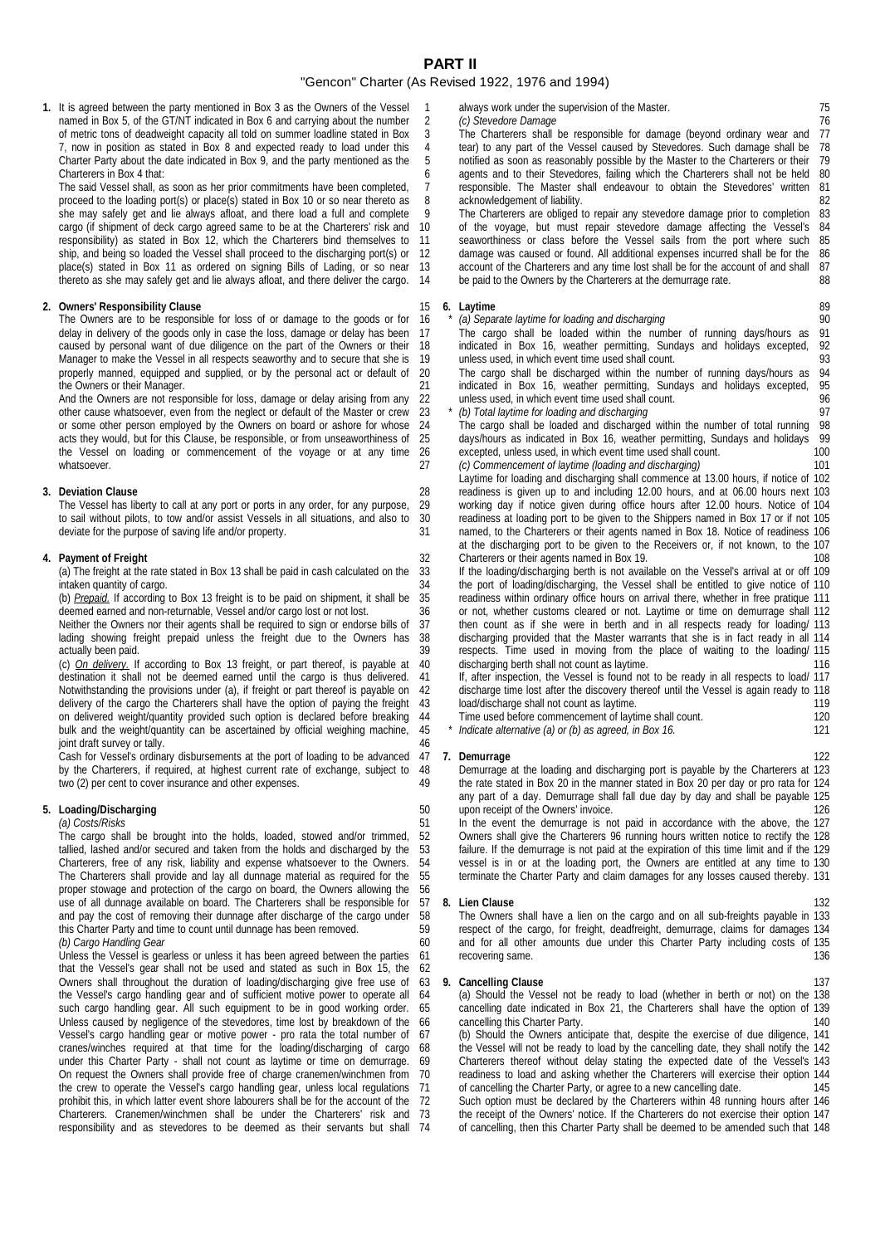# **PART II**

#### "Gencon" Charter (As Revised 1922, 1976 and 1994)

**1.** It is agreed between the party mentioned in Box 3 as the Owners of the Vessel 1 named in Box 5, of the GT/NT indicated in Box 6 and carrying about the number 2 named in Box 5, of the GT/NT indicated in Box 6 and carrying about the number 2<br>of metric tons of deadweight capacity all told on summer loadline stated in Box 3 of metric tons of deadweight capacity all told on summer loadline stated in Box 3 7, now in position as stated in Box 8 and expected ready to load under this 4<br>Charter Party about the date indicated in Box 9, and the party mentioned as the 5 Charter Party about the date indicated in Box 9, and the party mentioned as the Charterers in Box 4 that: 6

The said Vessel shall, as soon as her prior commitments have been completed, 7<br>proceed to the loading port(s) or place(s) stated in Box 10 or so near thereto as 8 proceed to the loading port(s) or place(s) stated in Box 10 or so near thereto as she may safely get and lie always afloat, and there load a full and complete 9 cargo (if shipment of deck cargo agreed same to be at the Charterers' risk and 10 responsibility) as stated in Box 12, which the Charterers bind themselves to 11<br>ship, and being so loaded the Vessel shall proceed to the discharging port(s) or 12 ship, and being so loaded the Vessel shall proceed to the discharging port(s) or 12<br>place(s) stated in Box 11 as ordered on signing Bills of Lading, or so near 13 place(s) stated in Box 11 as ordered on signing Bills of Lading, or so near thereto as she may safely get and lie always afloat, and there deliver the cargo. 14

#### **2. Owners' Responsibility Clause** 15

The Owners are to be responsible for loss of or damage to the goods or for 16 delay in delivery of the goods only in case the loss, damage or delay has been 17 delay in delivery of the goods only in case the loss, damage or delay has been 17<br>caused by personal want of due diligence on the part of the Owners or their 18 caused by personal want of due diligence on the part of the Owners or their Manager to make the Vessel in all respects seaworthy and to secure that she is 19 properly manned, equipped and supplied, or by the personal act or default of 20 properly manned, equipped and supplied, or by the personal act or default of 20<br>the Owners or their Manager the Owners or their Manager.<br>And the Owners are not responsible for loss, damage or delay arising from any 22

And the Owners are not responsible for loss, damage or delay arising from any 22<br>other cause whatsoever, even from the neglect or default of the Master or crew 23 other cause whatsoever, even from the neglect or default of the Master or crew 23<br>or some other person employed by the Owners on board or ashore for whose 24 or some other person employed by the Owners on board or ashore for whose 24<br>acts they would, but for this Clause, be responsible, or from unseaworthiness of 25 acts they would, but for this Clause, be responsible, or from unseaworthiness of the Vessel on loading or commencement of the voyage or at any time  $\frac{26}{27}$ whatsoever. 27

#### **3. Deviation Clause** 28

The Vessel has liberty to call at any port or ports in any order, for any purpose, 29<br>to sail without pilots, to tow and/or assist Vessels in all situations, and also to 30 to sail without pilots, to tow and/or assist Vessels in all situations, and also to 30<br>deviate for the purpose of saving life and/or property deviate for the purpose of saving life and/or property.

**4. Payment of Freight** 32 (a) The freight at the rate stated in Box 13 shall be paid in cash calculated on the intaken quantity of cargo.<br>(b) Prepaid. If according to Box 13 freight is to be paid on shipment, it shall be 35

(b) **Prepaid.** If according to Box 13 freight is to be paid on shipment, it shall be 35<br>deemed earned and non-returnable. Vessel and/or cargo lost or not lost of the carried and non-returnable, Vessel and/or cargo lost or not lost.<br>
Neither the Owners nor their agents shall be required to sign or endorse bills of 37

Neither the Owners nor their agents shall be required to sign or endorse bills of 37<br>lading showing freight prepaid unless the freight due to the Owners has 38 lading showing freight prepaid unless the freight due to the Owners has actually been paid. 39

(c) *On delivery.* If according to Box 13 freight, or part thereof, is payable at 40 destination it shall not be deemed earned until the cargo is thus delivered 41 destination it shall not be deemed earned until the cargo is thus delivered. 41<br>Notwithstanding the provisions under (a), if freight or part thereof is payable on 42 Notwithstanding the provisions under (a), if freight or part thereof is payable on delivery of the cargo the Charterers shall have the option of paying the freight 43<br>on delivered weight/quantity provided such option is declared before breaking 44 on delivered weight/quantity provided such option is declared before breaking 44<br>bulk and the weight/quantity can be ascertained by official weighing machine. 45 bulk and the weight/quantity can be ascertained by official weighing machine, 45<br>ioint draft survey or tally. joint draft survey or tally.<br>Cash for Vessel's ordinary disbursements at the port of loading to be advanced 47

Cash for Vessel's ordinary disbursements at the port of loading to be advanced 47 by the Charterers, if required, at highest current rate of exchange, subject to 48 two (2) per cent to cover insurance and other expenses. two (2) per cent to cover insurance and other expenses.

# **5. Loading/Discharging** 50<br>(a) Costs/Risks 51

#### *(a) Costs/Risks*

The cargo shall be brought into the holds, loaded, stowed and/or trimmed, 52 tallied. lashed and/or secured and taken from the holds and discharged by the 53 tallied, lashed and/or secured and taken from the holds and discharged by the 53<br>Charterers, free of any risk, liability and expense whatsoever to the Owners. 54 Charterers, free of any risk, liability and expense whatsoever to the Owners. 54 The Charterers shall provide and lay all dunnage material as required for the 55<br>proper stowage and protection of the cargo on board, the Owners allowing the 56 proper stowage and protection of the cargo on board, the Owners allowing the 56<br>use of all dunnage available on board. The Charterers shall be responsible for 57 use of all dunnage available on board. The Charterers shall be responsible for 57<br>and pay the cost of removing their dunnage after discharge of the cargo under 58 and pay the cost of removing their dunnage after discharge of the cargo under 58<br>this Charter Party and time to count until dunnage has been removed. this Charter Party and time to count until dunnage has been removed. *(b) Cargo Handling Gear* 60

Unless the Vessel is gearless or unless it has been agreed between the parties 61 that the Vessel's gear shall not be used and stated as such in Box 15, the 62 Owners shall throughout the duration of loading/discharging give free use of 63 the Vessel's cargo handling gear and of sufficient motive power to operate all 64<br>such cargo handling gear. All such equipment to be in good working order. 65 such cargo handling gear. All such equipment to be in good working order. Unless caused by negligence of the stevedores, time lost by breakdown of the 66 Vessel's cargo handling gear or motive power - pro rata the total number of 67 cranes/winches required at that time for the loading/discharging of cargo 68 under this Charter Party - shall not count as laytime or time on demurrage. 69<br>On request the Owners shall provide free of charge cranemen/winchmen from 70 On request the Owners shall provide free of charge cranemen/winchmen from 70<br>the crew to operate the Vessel's cargo bandling gear, unless local regulations 71 the crew to operate the Vessel's cargo handling gear, unless local regulations prohibit this, in which latter event shore labourers shall be for the account of the 72 Charterers. Cranemen/winchmen shall be under the Charterers' risk and 73 responsibility and as stevedores to be deemed as their servants but shall 74

always work under the supervision of the Master.<br>
(c) Stevedore Damage 76 *(c) Stevedore Damage*<br>The Charterers shall be responsible for damage (beyond ordinary wear and 77 The Charterers shall be responsible for damage (beyond ordinary wear and tear) to any part of the Vessel caused by Stevedores. Such damage shall be 78<br>notified as soon as reasonably possible by the Master to the Charterers or their 79 notified as soon as reasonably possible by the Master to the Charterers or their agents and to their Stevedores, failing which the Charterers shall not be held 80 responsible. The Master shall endeavour to obtain the Stevedores' written 81 responsible. The Master shall endeavour to obtain the Stevedores' written 81 acknowledgement of liability. The Charterers are obliged to repair any stevedore damage prior to completion 83 of the voyage, but must repair stevedore damage affecting the Vessel's 84<br>seaworthiness or class before the Vessel sails from the port where such 85 seaworthiness or class before the Vessel sails from the port where such 85 damage was caused or found. All additional expenses incurred shall be for the 86 damage was caused or found. All additional expenses incurred shall be for the 86 account of the Charterers and any time lost shall be for the account of and shall 87 account of the Charterers and any time lost shall be for the account of and shall 87<br>be paid to the Owners by the Charterers at the demurrage rate. be paid to the Owners by the Charterers at the demurrage rate. **6. Laytime**<br>**19. A. Separate laytime for loading and discharging<br><b>19. A. Separate laytime for loading and discharging**  \* *(a) Separate laytime for loading and discharging* 90 The cargo shall be loaded within the number of running days/hours as 91<br>indicated in Box 16, weather permitting. Sundays and holidays excepted. 92 indicated in Box 16, weather permitting, Sundays and holidays excepted, unless used, in which event time used shall count. 93 The cargo shall be discharged within the number of running days/hours as 94 indicated in Box 16. weather permitting. Sundays and holidays excepted. 95 indicated in Box 16, weather permitting, Sundays and holidays excepted, 95 unless used, in which event time used shall count.<br>
(b) Total laytime for loading and discharging \* *(b) Total laytime for loading and discharging* 97 The cargo shall be loaded and discharged within the number of total running 98<br>days/hours as indicated in Box 16, weather permitting. Sundays and holidays 99 days/hours as indicated in Box 16, weather permitting, Sundays and holidays excepted, unless used, in which event time used shall count.<br>
(c) Commencement of laytime (loading and discharging) [101] *(c)* Commencement of laytime (loading and discharging) Laytime for loading and discharging shall commence at 13.00 hours, if notice of 102 readiness is given up to and including 12.00 hours, and at 06.00 hours next 103 working day if notice given during office hours after 12.00 hours. Notice of 104 readiness at loading port to be given to the Shippers named in Box 17 or if not 105 named, to the Charterers or their agents named in Box 18. Notice of readiness 106 at the discharging port to be given to the Receivers or, if not known, to the 107 Charterers or their agents named in Box 19. 108 If the loading/discharging berth is not available on the Vessel's arrival at or off 109 the port of loading/discharging, the Vessel shall be entitled to give notice of 110 readiness within ordinary office hours on arrival there, whether in free pratique 111 or not, whether customs cleared or not. Laytime or time on demurrage shall 112 then count as if she were in berth and in all respects ready for loading/ 113 discharging provided that the Master warrants that she is in fact ready in all 114 respects. Time used in moving from the place of waiting to the loading/ 115 discharging berth shall not count as laytime. 116 If, after inspection, the Vessel is found not to be ready in all respects to load/ 117 discharge time lost after the discovery thereof until the Vessel is again ready to 118 load/discharge shall not count as laytime. 119 Time used before commencement of laytime shall count. *Indicate alternative (a) or (b) as agreed, in Box 16.* 121 **7. Demurrage** 122 Demurrage at the loading and discharging port is payable by the Charterers at 123 the rate stated in Box 20 in the manner stated in Box 20 per day or pro rata for 124 any part of a day. Demurrage shall fall due day by day and shall be payable 125 upon receipt of the Owners' invoice. 126 In the event the demurrage is not paid in accordance with the above, the 127 Owners shall give the Charterers 96 running hours written notice to rectify the 128 failure. If the demurrage is not paid at the expiration of this time limit and if the 129 vessel is in or at the loading port, the Owners are entitled at any time to 130 terminate the Charter Party and claim damages for any losses caused thereby. 131

#### **8. Lien Clause** 132

The Owners shall have a lien on the cargo and on all sub-freights payable in 133 respect of the cargo, for freight, deadfreight, demurrage, claims for damages 134 and for all other amounts due under this Charter Party including costs of 135 recovering same. 136

#### **9. Cancelling Clause** 137

(a) Should the Vessel not be ready to load (whether in berth or not) on the 138 cancelling date indicated in Box 21, the Charterers shall have the option of 139 cancelling this Charter Party. 140 (b) Should the Owners anticipate that, despite the exercise of due diligence, 141 the Vessel will not be ready to load by the cancelling date, they shall notify the 142 Charterers thereof without delay stating the expected date of the Vessel's 143 readiness to load and asking whether the Charterers will exercise their option 144 of cancelling the Charter Party, or agree to a new cancelling date. 145 Such option must be declared by the Charterers within 48 running hours after 146 the receipt of the Owners' notice. If the Charterers do not exercise their option 147 of cancelling, then this Charter Party shall be deemed to be amended such that 148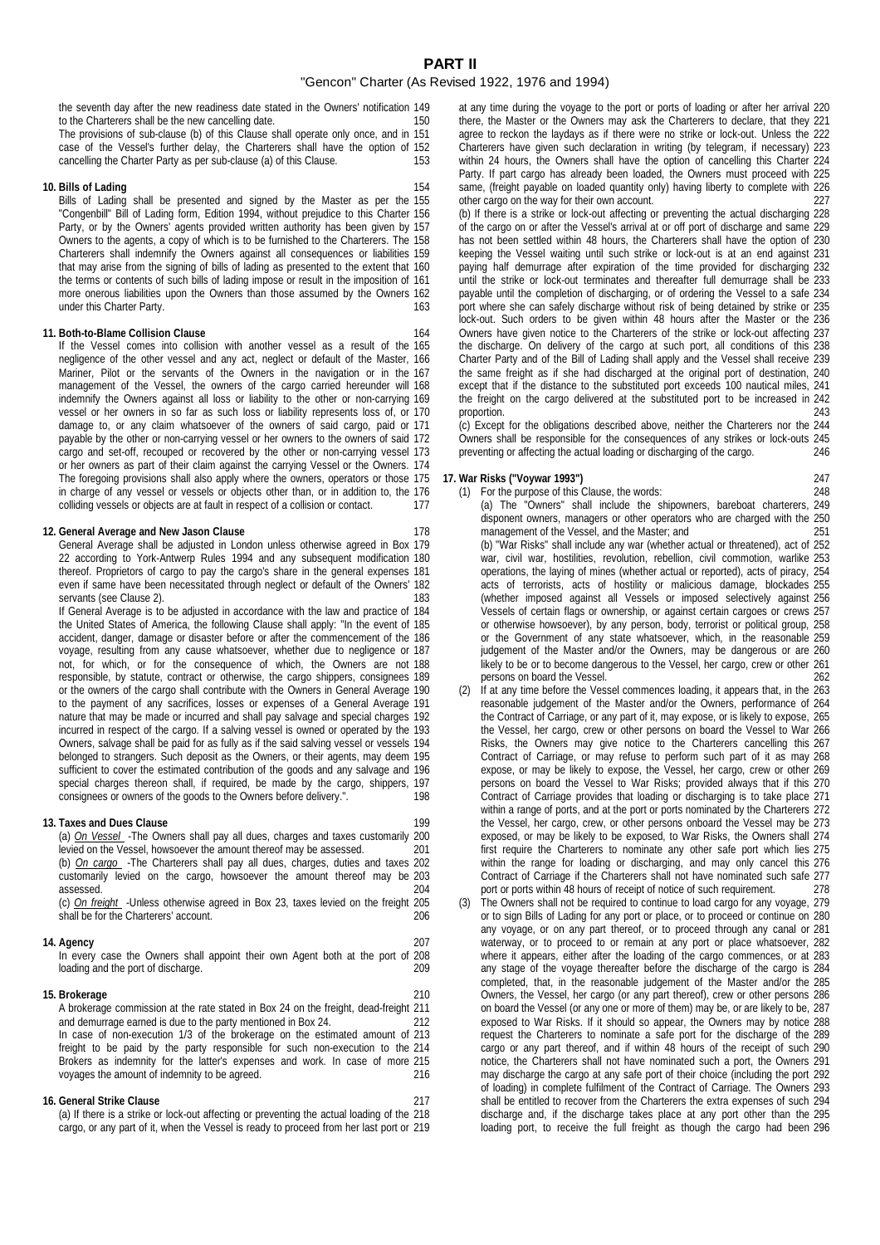#### "Gencon" Charter (As Revised 1922, 1976 and 1994)

the seventh day after the new readiness date stated in the Owners' notification 149<br>to the Charterers shall be the new cancelling date. to the Charterers shall be the new cancelling date. The provisions of sub-clause (b) of this Clause shall operate only once, and in 151

case of the Vessel's further delay, the Charterers shall have the option of 152 cancelling the Charter Party as per sub-clause (a) of this Clause.

## **10. Bills of Lading** 154

Bills of Lading shall be presented and signed by the Master as per the 155 "Congenbill" Bill of Lading form, Edition 1994, without prejudice to this Charter 156 Party, or by the Owners' agents provided written authority has been given by 157 Owners to the agents, a copy of which is to be furnished to the Charterers. The 158 Charterers shall indemnify the Owners against all consequences or liabilities 159 that may arise from the signing of bills of lading as presented to the extent that 160 the terms or contents of such bills of lading impose or result in the imposition of 161 more onerous liabilities upon the Owners than those assumed by the Owners 162 under this Charter Party.

### **11. Both-to-Blame Collision Clause** 164

If the Vessel comes into collision with another vessel as a result of the 165 negligence of the other vessel and any act, neglect or default of the Master, 166 Mariner, Pilot or the servants of the Owners in the navigation or in the 167 management of the Vessel, the owners of the cargo carried hereunder will 168 indemnify the Owners against all loss or liability to the other or non-carrying 169 vessel or her owners in so far as such loss or liability represents loss of, or 170 damage to, or any claim whatsoever of the owners of said cargo, paid or 171 payable by the other or non-carrying vessel or her owners to the owners of said 172 cargo and set-off, recouped or recovered by the other or non-carrying vessel 173 or her owners as part of their claim against the carrying Vessel or the Owners. 174 The foregoing provisions shall also apply where the owners, operators or those 175 in charge of any vessel or vessels or objects other than, or in addition to, the 176 colliding vessels or objects are at fault in respect of a collision or contact. 177

#### **12. General Average and New Jason Clause** 178

General Average shall be adjusted in London unless otherwise agreed in Box 179 22 according to York-Antwerp Rules 1994 and any subsequent modification 180 thereof. Proprietors of cargo to pay the cargo's share in the general expenses 181 even if same have been necessitated through neglect or default of the Owners' 182 servants (see Clause 2).

If General Average is to be adjusted in accordance with the law and practice of 184 the United States of America, the following Clause shall apply: "In the event of 185 accident, danger, damage or disaster before or after the commencement of the 186 voyage, resulting from any cause whatsoever, whether due to negligence or 187 not, for which, or for the consequence of which, the Owners are not 188 responsible, by statute, contract or otherwise, the cargo shippers, consignees 189 or the owners of the cargo shall contribute with the Owners in General Average 190 to the payment of any sacrifices, losses or expenses of a General Average 191 nature that may be made or incurred and shall pay salvage and special charges 192 incurred in respect of the cargo. If a salving vessel is owned or operated by the 193 Owners, salvage shall be paid for as fully as if the said salving vessel or vessels 194 belonged to strangers. Such deposit as the Owners, or their agents, may deem 195 sufficient to cover the estimated contribution of the goods and any salvage and 196 special charges thereon shall, if required, be made by the cargo, shippers, 197 consignees or owners of the goods to the Owners before delivery.". 198 consignees or owners of the goods to the Owners before delivery.".

#### **13.** Taxes and Dues Clause

(a) *On Vessel* -The Owners shall pay all dues, charges and taxes customarily 200 levied on the Vessel, howsoever the amount thereof may be assessed. (b) *On cargo* -The Charterers shall pay all dues, charges, duties and taxes 202 customarily levied on the cargo, howsoever the amount thereof may be 203 assessed. 204

(c) *On freight* -Unless otherwise agreed in Box 23, taxes levied on the freight 205 shall be for the Charterers' account.

#### **14. Agency** 207

In every case the Owners shall appoint their own Agent both at the port of 208 loading and the port of discharge.

#### **15. Brokerage** 210

A brokerage commission at the rate stated in Box 24 on the freight, dead-freight 211 and demurrage earned is due to the party mentioned in Box 24. <sup>212</sup> In case of non-execution 1/3 of the brokerage on the estimated amount of 213 freight to be paid by the party responsible for such non-execution to the 214 Brokers as indemnity for the latter's expenses and work. In case of more 215 voyages the amount of indemnity to be agreed.

#### **16. General Strike Clause** 217

(a) If there is a strike or lock-out affecting or preventing the actual loading of the 218 cargo, or any part of it, when the Vessel is ready to proceed from her last port or 219 at any time during the voyage to the port or ports of loading or after her arrival 220 there, the Master or the Owners may ask the Charterers to declare, that they 221 agree to reckon the laydays as if there were no strike or lock-out. Unless the 222 Charterers have given such declaration in writing (by telegram, if necessary) 223 within 24 hours, the Owners shall have the option of cancelling this Charter 224 Party. If part cargo has already been loaded, the Owners must proceed with 225 same, (freight payable on loaded quantity only) having liberty to complete with 226 other cargo on the way for their own account. 227 (b) If there is a strike or lock-out affecting or preventing the actual discharging 228

of the cargo on or after the Vessel's arrival at or off port of discharge and same 229 has not been settled within 48 hours, the Charterers shall have the option of 230 keeping the Vessel waiting until such strike or lock-out is at an end against 231 paying half demurrage after expiration of the time provided for discharging 232 until the strike or lock-out terminates and thereafter full demurrage shall be 233 payable until the completion of discharging, or of ordering the Vessel to a safe 234 port where she can safely discharge without risk of being detained by strike or 235 lock-out. Such orders to be given within 48 hours after the Master or the 236 Owners have given notice to the Charterers of the strike or lock-out affecting 237 the discharge. On delivery of the cargo at such port, all conditions of this 238 Charter Party and of the Bill of Lading shall apply and the Vessel shall receive 239 the same freight as if she had discharged at the original port of destination, 240 except that if the distance to the substituted port exceeds 100 nautical miles, 241 the freight on the cargo delivered at the substituted port to be increased in 242 proportion. 243

(c) Except for the obligations described above, neither the Charterers nor the 244 Owners shall be responsible for the consequences of any strikes or lock-outs 245 preventing or affecting the actual loading or discharging of the cargo. 246 preventing or affecting the actual loading or discharging of the cargo.

**17. War Risks ("Voywar 1993")** 247 (1) For the purpose of this Clause, the words:

(a) The "Owners" shall include the shipowners, bareboat charterers, 249 disponent owners, managers or other operators who are charged with the 250 management of the Vessel and the Master and management of the Vessel, and the Master; and (b) "War Risks" shall include any war (whether actual or threatened), act of 252 war, civil war, hostilities, revolution, rebellion, civil commotion, warlike 253 operations, the laying of mines (whether actual or reported), acts of piracy, 254 acts of terrorists, acts of hostility or malicious damage, blockades 255 (whether imposed against all Vessels or imposed selectively against 256 Vessels of certain flags or ownership, or against certain cargoes or crews 257 or otherwise howsoever), by any person, body, terrorist or political group, 258 or the Government of any state whatsoever, which, in the reasonable 259 judgement of the Master and/or the Owners, may be dangerous or are 260 likely to be or to become dangerous to the Vessel, her cargo, crew or other 261 persons on board the Vessel. 262

- If at any time before the Vessel commences loading, it appears that, in the 263 reasonable judgement of the Master and/or the Owners, performance of 264 the Contract of Carriage, or any part of it, may expose, or is likely to expose, 265 the Vessel, her cargo, crew or other persons on board the Vessel to War 266 Risks, the Owners may give notice to the Charterers cancelling this 267 Contract of Carriage, or may refuse to perform such part of it as may 268 expose, or may be likely to expose, the Vessel, her cargo, crew or other 269 persons on board the Vessel to War Risks; provided always that if this 270 Contract of Carriage provides that loading or discharging is to take place 271 within a range of ports, and at the port or ports nominated by the Charterers 272 the Vessel, her cargo, crew, or other persons onboard the Vessel may be 273 exposed, or may be likely to be exposed, to War Risks, the Owners shall 274 first require the Charterers to nominate any other safe port which lies 275 within the range for loading or discharging, and may only cancel this 276 Contract of Carriage if the Charterers shall not have nominated such safe 277 port or ports within 48 hours of receipt of notice of such requirement. 278
- The Owners shall not be required to continue to load cargo for any voyage, 279 or to sign Bills of Lading for any port or place, or to proceed or continue on 280 any voyage, or on any part thereof, or to proceed through any canal or 281 waterway, or to proceed to or remain at any port or place whatsoever, 282 where it appears, either after the loading of the cargo commences, or at 283 any stage of the voyage thereafter before the discharge of the cargo is 284 completed, that, in the reasonable judgement of the Master and/or the 285 Owners, the Vessel, her cargo (or any part thereof), crew or other persons 286 on board the Vessel (or any one or more of them) may be, or are likely to be, 287 exposed to War Risks. If it should so appear, the Owners may by notice 288 request the Charterers to nominate a safe port for the discharge of the 289 cargo or any part thereof, and if within 48 hours of the receipt of such 290 notice, the Charterers shall not have nominated such a port, the Owners 291 may discharge the cargo at any safe port of their choice (including the port 292 of loading) in complete fulfilment of the Contract of Carriage. The Owners 293 shall be entitled to recover from the Charterers the extra expenses of such 294 discharge and, if the discharge takes place at any port other than the 295 loading port, to receive the full freight as though the cargo had been 296